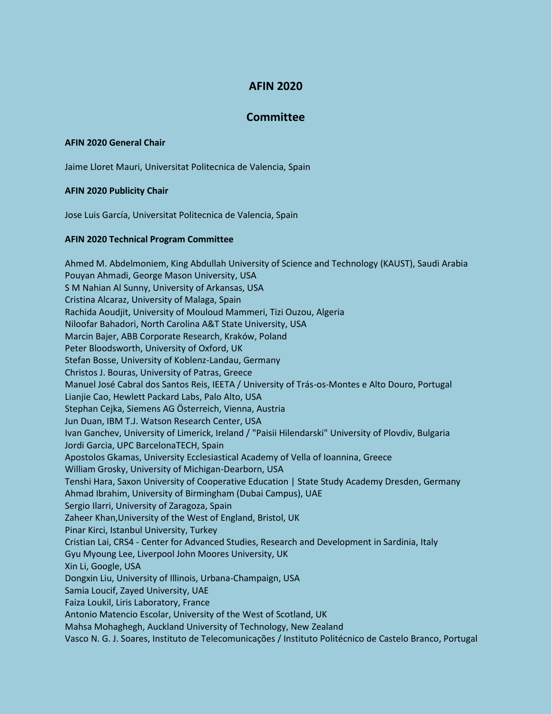# **AFIN 2020**

## **Committee**

## **AFIN 2020 General Chair**

Jaime Lloret Mauri, Universitat Politecnica de Valencia, Spain

### **AFIN 2020 Publicity Chair**

Jose Luis García, Universitat Politecnica de Valencia, Spain

### **AFIN 2020 Technical Program Committee**

Ahmed M. Abdelmoniem, King Abdullah University of Science and Technology (KAUST), Saudi Arabia Pouyan Ahmadi, George Mason University, USA S M Nahian Al Sunny, University of Arkansas, USA Cristina Alcaraz, University of Malaga, Spain Rachida Aoudjit, University of Mouloud Mammeri, Tizi Ouzou, Algeria Niloofar Bahadori, North Carolina A&T State University, USA Marcin Bajer, ABB Corporate Research, Kraków, Poland Peter Bloodsworth, University of Oxford, UK Stefan Bosse, University of Koblenz-Landau, Germany Christos J. Bouras, University of Patras, Greece Manuel José Cabral dos Santos Reis, IEETA / University of Trás-os-Montes e Alto Douro, Portugal Lianjie Cao, Hewlett Packard Labs, Palo Alto, USA Stephan Cejka, Siemens AG Österreich, Vienna, Austria Jun Duan, IBM T.J. Watson Research Center, USA Ivan Ganchev, University of Limerick, Ireland / "Paisii Hilendarski" University of Plovdiv, Bulgaria Jordi Garcia, UPC BarcelonaTECH, Spain Apostolos Gkamas, University Ecclesiastical Academy of Vella of Ioannina, Greece William Grosky, University of Michigan-Dearborn, USA Tenshi Hara, Saxon University of Cooperative Education | State Study Academy Dresden, Germany Ahmad Ibrahim, University of Birmingham (Dubai Campus), UAE Sergio Ilarri, University of Zaragoza, Spain Zaheer Khan,University of the West of England, Bristol, UK Pinar Kirci, Istanbul University, Turkey Cristian Lai, CRS4 - Center for Advanced Studies, Research and Development in Sardinia, Italy Gyu Myoung Lee, Liverpool John Moores University, UK Xin Li, Google, USA Dongxin Liu, University of Illinois, Urbana-Champaign, USA Samia Loucif, Zayed University, UAE Faiza Loukil, Liris Laboratory, France Antonio Matencio Escolar, University of the West of Scotland, UK Mahsa Mohaghegh, Auckland University of Technology, New Zealand Vasco N. G. J. Soares, Instituto de Telecomunicações / Instituto Politécnico de Castelo Branco, Portugal